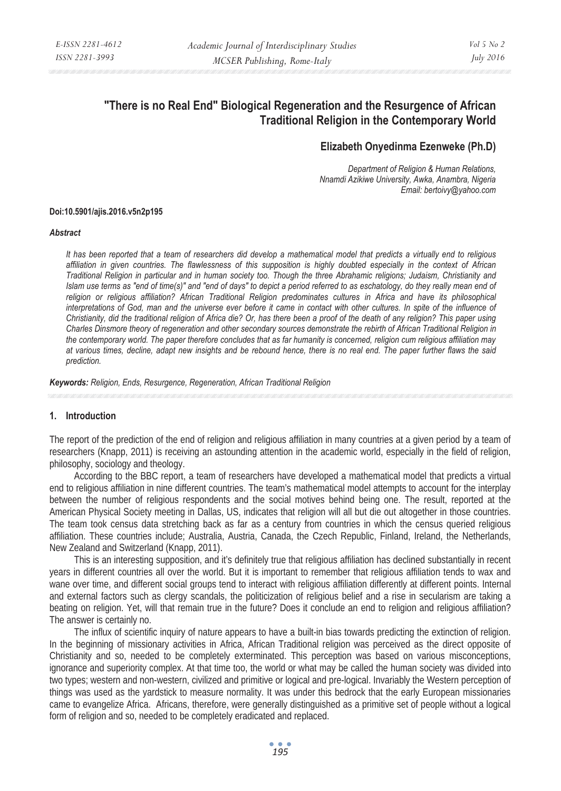# **"There is no Real End" Biological Regeneration and the Resurgence of African Traditional Religion in the Contemporary World**

## **Elizabeth Onyedinma Ezenweke (Ph.D)**

*Department of Religion & Human Relations, Nnamdi Azikiwe University, Awka, Anambra, Nigeria Email: bertoivy@yahoo.com* 

#### **Doi:10.5901/ajis.2016.v5n2p195**

#### *Abstract*

*It has been reported that a team of researchers did develop a mathematical model that predicts a virtually end to religious affiliation in given countries. The flawlessness of this supposition is highly doubted especially in the context of African Traditional Religion in particular and in human society too. Though the three Abrahamic religions; Judaism, Christianity and Islam use terms as "end of time(s)" and "end of days" to depict a period referred to as eschatology, do they really mean end of* religion or religious affiliation? African Traditional Religion predominates cultures in Africa and have its philosophical interpretations of God, man and the universe ever before it came in contact with other cultures. In spite of the influence of *Christianity, did the traditional religion of Africa die? Or, has there been a proof of the death of any religion? This paper using Charles Dinsmore theory of regeneration and other secondary sources demonstrate the rebirth of African Traditional Religion in the contemporary world. The paper therefore concludes that as far humanity is concerned, religion cum religious affiliation may at various times, decline, adapt new insights and be rebound hence, there is no real end. The paper further flaws the said prediction.* 

*Keywords: Religion, Ends, Resurgence, Regeneration, African Traditional Religion* 

### **1. Introduction**

The report of the prediction of the end of religion and religious affiliation in many countries at a given period by a team of researchers (Knapp, 2011) is receiving an astounding attention in the academic world, especially in the field of religion, philosophy, sociology and theology.

According to the BBC report, a team of researchers have developed a mathematical model that predicts a virtual end to religious affiliation in nine different countries. The team's mathematical model attempts to account for the interplay between the number of religious respondents and the social motives behind being one. The result, reported at the American Physical Society meeting in Dallas, US, indicates that religion will all but die out altogether in those countries. The team took census data stretching back as far as a century from countries in which the census queried religious affiliation. These countries include; Australia, Austria, Canada, the Czech Republic, Finland, Ireland, the Netherlands, New Zealand and Switzerland (Knapp, 2011).

This is an interesting supposition, and it's definitely true that religious affiliation has declined substantially in recent years in different countries all over the world. But it is important to remember that religious affiliation tends to wax and wane over time, and different social groups tend to interact with religious affiliation differently at different points. Internal and external factors such as clergy scandals, the politicization of religious belief and a rise in secularism are taking a beating on religion. Yet, will that remain true in the future? Does it conclude an end to religion and religious affiliation? The answer is certainly no.

The influx of scientific inquiry of nature appears to have a built-in bias towards predicting the extinction of religion. In the beginning of missionary activities in Africa, African Traditional religion was perceived as the direct opposite of Christianity and so, needed to be completely exterminated. This perception was based on various misconceptions, ignorance and superiority complex. At that time too, the world or what may be called the human society was divided into two types; western and non-western, civilized and primitive or logical and pre-logical. Invariably the Western perception of things was used as the yardstick to measure normality. It was under this bedrock that the early European missionaries came to evangelize Africa. Africans, therefore, were generally distinguished as a primitive set of people without a logical form of religion and so, needed to be completely eradicated and replaced.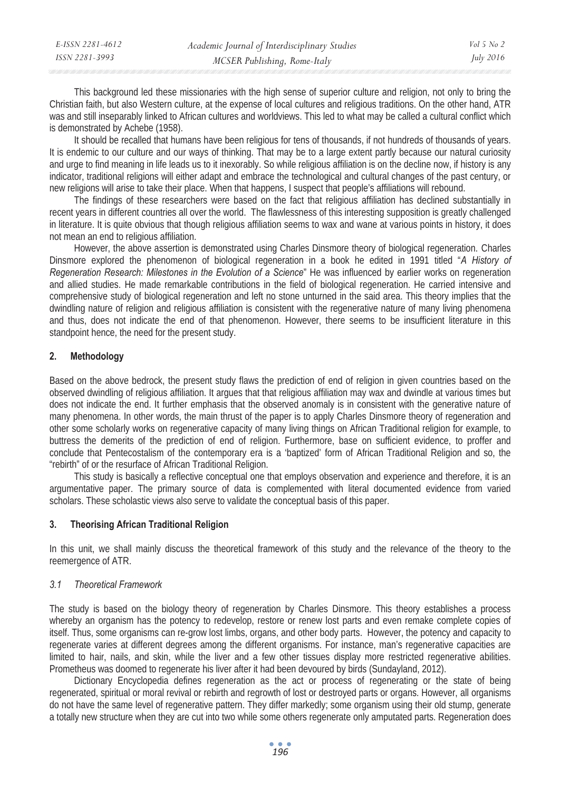| E-ISSN 2281-4612 | Academic Journal of Interdisciplinary Studies | Vol 5 No 2       |
|------------------|-----------------------------------------------|------------------|
| ISSN 2281-3993   | MCSER Publishing, Rome-Italy                  | <i>July 2016</i> |

This background led these missionaries with the high sense of superior culture and religion, not only to bring the Christian faith, but also Western culture, at the expense of local cultures and religious traditions. On the other hand, ATR was and still inseparably linked to African cultures and worldviews. This led to what may be called a cultural conflict which is demonstrated by Achebe (1958).

It should be recalled that humans have been religious for tens of thousands, if not hundreds of thousands of years. It is endemic to our culture and our ways of thinking. That may be to a large extent partly because our natural curiosity and urge to find meaning in life leads us to it inexorably. So while religious affiliation is on the decline now, if history is any indicator, traditional religions will either adapt and embrace the technological and cultural changes of the past century, or new religions will arise to take their place. When that happens, I suspect that people's affiliations will rebound.

The findings of these researchers were based on the fact that religious affiliation has declined substantially in recent years in different countries all over the world. The flawlessness of this interesting supposition is greatly challenged in literature. It is quite obvious that though religious affiliation seems to wax and wane at various points in history, it does not mean an end to religious affiliation.

However, the above assertion is demonstrated using Charles Dinsmore theory of biological regeneration. Charles Dinsmore explored the phenomenon of biological regeneration in a book he edited in 1991 titled "*A History of Regeneration Research: Milestones in the Evolution of a Science*" He was influenced by earlier works on regeneration and allied studies. He made remarkable contributions in the field of biological regeneration. He carried intensive and comprehensive study of biological regeneration and left no stone unturned in the said area. This theory implies that the dwindling nature of religion and religious affiliation is consistent with the regenerative nature of many living phenomena and thus, does not indicate the end of that phenomenon. However, there seems to be insufficient literature in this standpoint hence, the need for the present study.

### **2. Methodology**

Based on the above bedrock, the present study flaws the prediction of end of religion in given countries based on the observed dwindling of religious affiliation. It argues that that religious affiliation may wax and dwindle at various times but does not indicate the end. It further emphasis that the observed anomaly is in consistent with the generative nature of many phenomena. In other words, the main thrust of the paper is to apply Charles Dinsmore theory of regeneration and other some scholarly works on regenerative capacity of many living things on African Traditional religion for example, to buttress the demerits of the prediction of end of religion. Furthermore, base on sufficient evidence, to proffer and conclude that Pentecostalism of the contemporary era is a 'baptized' form of African Traditional Religion and so, the "rebirth" of or the resurface of African Traditional Religion.

This study is basically a reflective conceptual one that employs observation and experience and therefore, it is an argumentative paper. The primary source of data is complemented with literal documented evidence from varied scholars. These scholastic views also serve to validate the conceptual basis of this paper.

#### **3. Theorising African Traditional Religion**

In this unit, we shall mainly discuss the theoretical framework of this study and the relevance of the theory to the reemergence of ATR.

#### *3.1 Theoretical Framework*

The study is based on the biology theory of regeneration by Charles Dinsmore. This theory establishes a process whereby an organism has the potency to redevelop, restore or renew lost parts and even remake complete copies of itself. Thus, some organisms can re-grow lost limbs, organs, and other body parts. However, the potency and capacity to regenerate varies at different degrees among the different organisms. For instance, man's regenerative capacities are limited to hair, nails, and skin, while the liver and a few other tissues display more restricted regenerative abilities. Prometheus was doomed to regenerate his liver after it had been devoured by birds (Sundayland, 2012).

Dictionary Encyclopedia defines regeneration as the act or process of regenerating or the state of being regenerated, spiritual or moral revival or rebirth and regrowth of lost or destroyed parts or organs. However, all organisms do not have the same level of regenerative pattern. They differ markedly; some organism using their old stump, generate a totally new structure when they are cut into two while some others regenerate only amputated parts. Regeneration does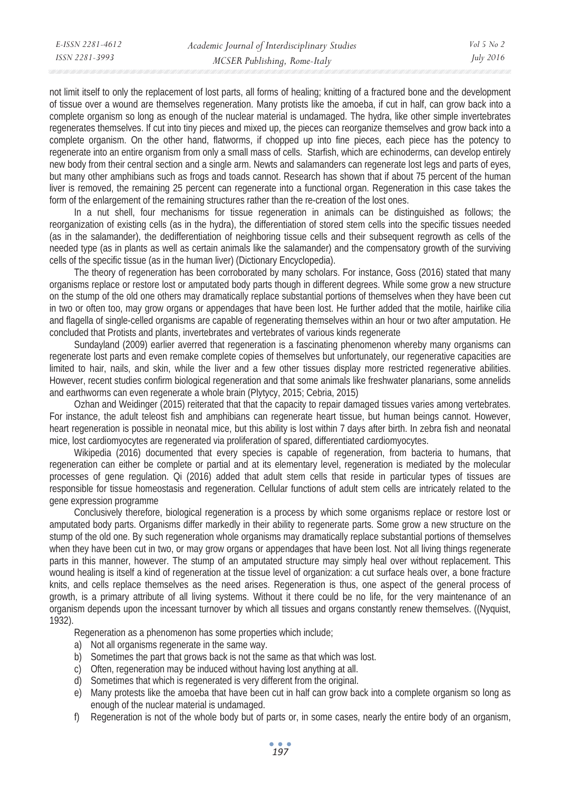not limit itself to only the replacement of lost parts, all forms of healing; knitting of a fractured bone and the development of tissue over a wound are themselves regeneration. Many protists like the amoeba, if cut in half, can grow back into a complete organism so long as enough of the nuclear material is undamaged. The hydra, like other simple invertebrates regenerates themselves. If cut into tiny pieces and mixed up, the pieces can reorganize themselves and grow back into a complete organism. On the other hand, flatworms, if chopped up into fine pieces, each piece has the potency to regenerate into an entire organism from only a small mass of cells. Starfish, which are echinoderms, can develop entirely new body from their central section and a single arm. Newts and salamanders can regenerate lost legs and parts of eyes, but many other amphibians such as frogs and toads cannot. Research has shown that if about 75 percent of the human liver is removed, the remaining 25 percent can regenerate into a functional organ. Regeneration in this case takes the form of the enlargement of the remaining structures rather than the re-creation of the lost ones.

In a nut shell, four mechanisms for tissue regeneration in animals can be distinguished as follows; the reorganization of existing cells (as in the hydra), the differentiation of stored stem cells into the specific tissues needed (as in the salamander), the dedifferentiation of neighboring tissue cells and their subsequent regrowth as cells of the needed type (as in plants as well as certain animals like the salamander) and the compensatory growth of the surviving cells of the specific tissue (as in the human liver) (Dictionary Encyclopedia).

The theory of regeneration has been corroborated by many scholars. For instance, Goss (2016) stated that many organisms replace or restore lost or amputated body parts though in different degrees. While some grow a new structure on the stump of the old one others may dramatically replace substantial portions of themselves when they have been cut in two or often too, may grow organs or appendages that have been lost. He further added that the motile, hairlike cilia and flagella of single-celled organisms are capable of regenerating themselves within an hour or two after amputation. He concluded that Protists and plants, invertebrates and vertebrates of various kinds regenerate

Sundayland (2009) earlier averred that regeneration is a fascinating phenomenon whereby many organisms can regenerate lost parts and even remake complete copies of themselves but unfortunately, our regenerative capacities are limited to hair, nails, and skin, while the liver and a few other tissues display more restricted regenerative abilities. However, recent studies confirm biological regeneration and that some animals like freshwater planarians, some annelids and earthworms can even regenerate a whole brain (Plytycy, 2015; Cebria, 2015)

Ozhan and Weidinger (2015) reiterated that that the capacity to repair damaged tissues varies among vertebrates. For instance, the adult teleost fish and amphibians can regenerate heart tissue, but human beings cannot. However, heart regeneration is possible in neonatal mice, but this ability is lost within 7 days after birth. In zebra fish and neonatal mice, lost cardiomyocytes are regenerated via proliferation of spared, differentiated cardiomyocytes.

Wikipedia (2016) documented that every species is capable of regeneration, from bacteria to humans, that regeneration can either be complete or partial and at its elementary level, regeneration is mediated by the molecular processes of gene regulation. Qi (2016) added that adult stem cells that reside in particular types of tissues are responsible for tissue homeostasis and regeneration. Cellular functions of adult stem cells are intricately related to the gene expression programme

Conclusively therefore, biological regeneration is a process by which some organisms replace or restore lost or amputated body parts. Organisms differ markedly in their ability to regenerate parts. Some grow a new structure on the stump of the old one. By such regeneration whole organisms may dramatically replace substantial portions of themselves when they have been cut in two, or may grow organs or appendages that have been lost. Not all living things regenerate parts in this manner, however. The stump of an amputated structure may simply heal over without replacement. This wound healing is itself a kind of regeneration at the tissue level of organization: a cut surface heals over, a bone fracture knits, and cells replace themselves as the need arises. Regeneration is thus, one aspect of the general process of growth, is a primary attribute of all living systems. Without it there could be no life, for the very maintenance of an organism depends upon the incessant turnover by which all tissues and organs constantly renew themselves. ((Nyquist, 1932).

Regeneration as a phenomenon has some properties which include;

- a) Not all organisms regenerate in the same way.
- b) Sometimes the part that grows back is not the same as that which was lost.
- c) Often, regeneration may be induced without having lost anything at all.
- d) Sometimes that which is regenerated is very different from the original.
- e) Many protests like the amoeba that have been cut in half can grow back into a complete organism so long as enough of the nuclear material is undamaged.
- f) Regeneration is not of the whole body but of parts or, in some cases, nearly the entire body of an organism,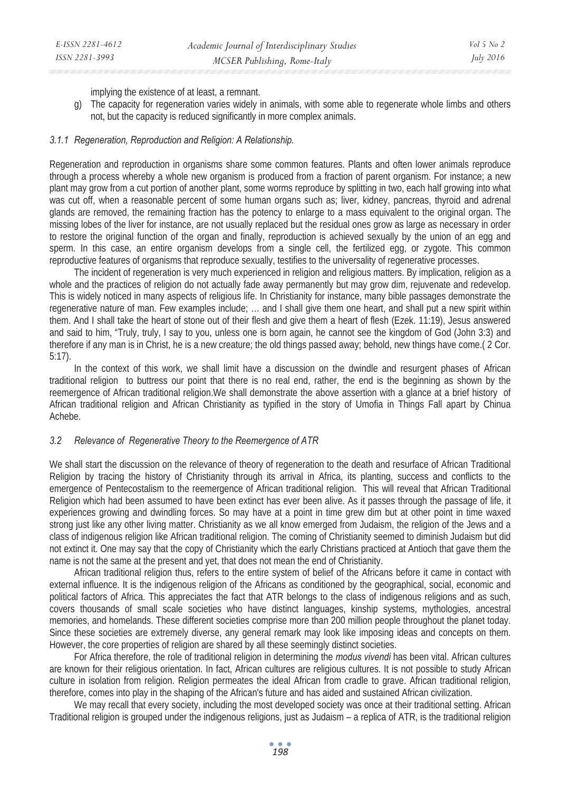implying the existence of at least, a remnant.

g) The capacity for regeneration varies widely in animals, with some able to regenerate whole limbs and others not, but the capacity is reduced significantly in more complex animals.

#### *3.1.1 Regeneration, Reproduction and Religion: A Relationship.*

Regeneration and reproduction in organisms share some common features. Plants and often lower animals reproduce through a process whereby a whole new organism is produced from a fraction of parent organism. For instance; a new plant may grow from a cut portion of another plant, some worms reproduce by splitting in two, each half growing into what was cut off, when a reasonable percent of some human organs such as; liver, kidney, pancreas, thyroid and adrenal glands are removed, the remaining fraction has the potency to enlarge to a mass equivalent to the original organ. The missing lobes of the liver for instance, are not usually replaced but the residual ones grow as large as necessary in order to restore the original function of the organ and finally, reproduction is achieved sexually by the union of an egg and sperm. In this case, an entire organism develops from a single cell, the fertilized egg, or zygote. This common reproductive features of organisms that reproduce sexually, testifies to the universality of regenerative processes.

The incident of regeneration is very much experienced in religion and religious matters. By implication, religion as a whole and the practices of religion do not actually fade away permanently but may grow dim, rejuvenate and redevelop. This is widely noticed in many aspects of religious life. In Christianity for instance, many bible passages demonstrate the regenerative nature of man. Few examples include; … and I shall give them one heart, and shall put a new spirit within them. And I shall take the heart of stone out of their flesh and give them a heart of flesh (Ezek. 11:19), Jesus answered and said to him, "Truly, truly, I say to you, unless one is born again, he cannot see the kingdom of God (John 3:3) and therefore if any man is in Christ, he is a new creature; the old things passed away; behold, new things have come.( 2 Cor. 5:17).

In the context of this work, we shall limit have a discussion on the dwindle and resurgent phases of African traditional religion to buttress our point that there is no real end, rather, the end is the beginning as shown by the reemergence of African traditional religion.We shall demonstrate the above assertion with a glance at a brief history of African traditional religion and African Christianity as typified in the story of Umofia in Things Fall apart by Chinua Achebe.

## *3.2 Relevance of Regenerative Theory to the Reemergence of ATR*

We shall start the discussion on the relevance of theory of regeneration to the death and resurface of African Traditional Religion by tracing the history of Christianity through its arrival in Africa, its planting, success and conflicts to the emergence of Pentecostalism to the reemergence of African traditional religion. This will reveal that African Traditional Religion which had been assumed to have been extinct has ever been alive. As it passes through the passage of life, it experiences growing and dwindling forces. So may have at a point in time grew dim but at other point in time waxed strong just like any other living matter. Christianity as we all know emerged from Judaism, the religion of the Jews and a class of indigenous religion like African traditional religion. The coming of Christianity seemed to diminish Judaism but did not extinct it. One may say that the copy of Christianity which the early Christians practiced at Antioch that gave them the name is not the same at the present and yet, that does not mean the end of Christianity.

African traditional religion thus, refers to the entire system of belief of the Africans before it came in contact with external influence. It is the indigenous religion of the Africans as conditioned by the geographical, social, economic and political factors of Africa. This appreciates the fact that ATR belongs to the class of indigenous religions and as such, covers thousands of small scale societies who have distinct languages, kinship systems, mythologies, ancestral memories, and homelands. These different societies comprise more than 200 million people throughout the planet today. Since these societies are extremely diverse, any general remark may look like imposing ideas and concepts on them. However, the core properties of religion are shared by all these seemingly distinct societies.

For Africa therefore, the role of traditional religion in determining the *modus vivendi* has been vital. African cultures are known for their religious orientation. In fact, African cultures are religious cultures. It is not possible to study African culture in isolation from religion. Religion permeates the ideal African from cradle to grave. African traditional religion, therefore, comes into play in the shaping of the African's future and has aided and sustained African civilization.

We may recall that every society, including the most developed society was once at their traditional setting. African Traditional religion is grouped under the indigenous religions, just as Judaism – a replica of ATR, is the traditional religion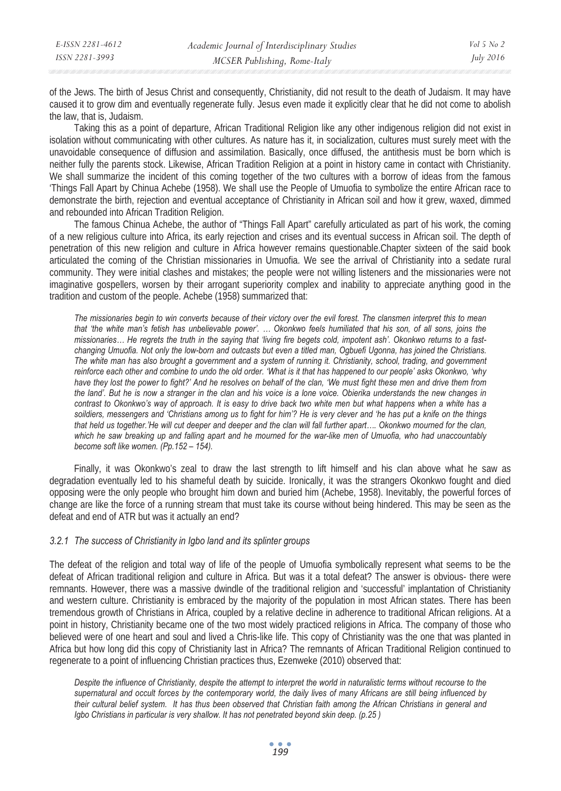of the Jews. The birth of Jesus Christ and consequently, Christianity, did not result to the death of Judaism. It may have caused it to grow dim and eventually regenerate fully. Jesus even made it explicitly clear that he did not come to abolish the law, that is, Judaism.

Taking this as a point of departure, African Traditional Religion like any other indigenous religion did not exist in isolation without communicating with other cultures. As nature has it, in socialization, cultures must surely meet with the unavoidable consequence of diffusion and assimilation. Basically, once diffused, the antithesis must be born which is neither fully the parents stock. Likewise, African Tradition Religion at a point in history came in contact with Christianity. We shall summarize the incident of this coming together of the two cultures with a borrow of ideas from the famous 'Things Fall Apart by Chinua Achebe (1958). We shall use the People of Umuofia to symbolize the entire African race to demonstrate the birth, rejection and eventual acceptance of Christianity in African soil and how it grew, waxed, dimmed and rebounded into African Tradition Religion.

The famous Chinua Achebe, the author of "Things Fall Apart" carefully articulated as part of his work, the coming of a new religious culture into Africa, its early rejection and crises and its eventual success in African soil. The depth of penetration of this new religion and culture in Africa however remains questionable.Chapter sixteen of the said book articulated the coming of the Christian missionaries in Umuofia. We see the arrival of Christianity into a sedate rural community. They were initial clashes and mistakes; the people were not willing listeners and the missionaries were not imaginative gospellers, worsen by their arrogant superiority complex and inability to appreciate anything good in the tradition and custom of the people. Achebe (1958) summarized that:

*The missionaries begin to win converts because of their victory over the evil forest. The clansmen interpret this to mean that 'the white man's fetish has unbelievable power'. … Okonkwo feels humiliated that his son, of all sons, joins the missionaries… He regrets the truth in the saying that 'living fire begets cold, impotent ash'. Okonkwo returns to a fastchanging Umuofia. Not only the low-born and outcasts but even a titled man, Ogbuefi Ugonna, has joined the Christians. The white man has also brought a government and a system of running it. Christianity, school, trading, and government reinforce each other and combine to undo the old order. 'What is it that has happened to our people' asks Okonkwo, 'why have they lost the power to fight?' And he resolves on behalf of the clan, 'We must fight these men and drive them from the land'. But he is now a stranger in the clan and his voice is a lone voice. Obierika understands the new changes in contrast to Okonkwo's way of approach. It is easy to drive back two white men but what happens when a white has a soildiers, messengers and 'Christians among us to fight for him'? He is very clever and 'he has put a knife on the things that held us together.'He will cut deeper and deeper and the clan will fall further apart…. Okonkwo mourned for the clan,*  which he saw breaking up and falling apart and he mourned for the war-like men of Umuofia, who had unaccountably *become soft like women. (Pp.152 – 154).* 

Finally, it was Okonkwo's zeal to draw the last strength to lift himself and his clan above what he saw as degradation eventually led to his shameful death by suicide. Ironically, it was the strangers Okonkwo fought and died opposing were the only people who brought him down and buried him (Achebe, 1958). Inevitably, the powerful forces of change are like the force of a running stream that must take its course without being hindered. This may be seen as the defeat and end of ATR but was it actually an end?

### *3.2.1 The success of Christianity in Igbo land and its splinter groups*

The defeat of the religion and total way of life of the people of Umuofia symbolically represent what seems to be the defeat of African traditional religion and culture in Africa. But was it a total defeat? The answer is obvious- there were remnants. However, there was a massive dwindle of the traditional religion and 'successful' implantation of Christianity and western culture. Christianity is embraced by the majority of the population in most African states. There has been tremendous growth of Christians in Africa, coupled by a relative decline in adherence to traditional African religions. At a point in history, Christianity became one of the two most widely practiced religions in Africa. The company of those who believed were of one heart and soul and lived a Chris-like life. This copy of Christianity was the one that was planted in Africa but how long did this copy of Christianity last in Africa? The remnants of African Traditional Religion continued to regenerate to a point of influencing Christian practices thus, Ezenweke (2010) observed that:

*Despite the influence of Christianity, despite the attempt to interpret the world in naturalistic terms without recourse to the supernatural and occult forces by the contemporary world, the daily lives of many Africans are still being influenced by their cultural belief system. It has thus been observed that Christian faith among the African Christians in general and Igbo Christians in particular is very shallow. It has not penetrated beyond skin deep. (p.25)*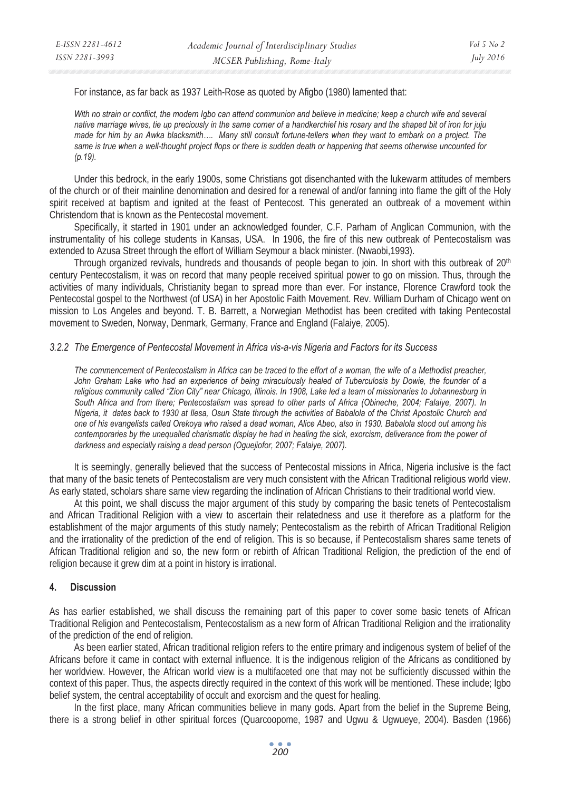For instance, as far back as 1937 Leith-Rose as quoted by Afigbo (1980) lamented that:

With no strain or conflict, the modern Igbo can attend communion and believe in medicine; keep a church wife and several *native marriage wives, tie up preciously in the same corner of a handkerchief his rosary and the shaped bit of iron for juju made for him by an Awka blacksmith…. Many still consult fortune-tellers when they want to embark on a project. The same is true when a well-thought project flops or there is sudden death or happening that seems otherwise uncounted for (p.19).* 

Under this bedrock, in the early 1900s, some Christians got disenchanted with the lukewarm attitudes of members of the church or of their mainline denomination and desired for a renewal of and/or fanning into flame the gift of the Holy spirit received at baptism and ignited at the feast of Pentecost. This generated an outbreak of a movement within Christendom that is known as the Pentecostal movement.

Specifically, it started in 1901 under an acknowledged founder, C.F. Parham of Anglican Communion, with the instrumentality of his college students in Kansas, USA. In 1906, the fire of this new outbreak of Pentecostalism was extended to Azusa Street through the effort of William Seymour a black minister. (Nwaobi,1993).

Through organized revivals, hundreds and thousands of people began to join. In short with this outbreak of 20<sup>th</sup> century Pentecostalism, it was on record that many people received spiritual power to go on mission. Thus, through the activities of many individuals, Christianity began to spread more than ever. For instance, Florence Crawford took the Pentecostal gospel to the Northwest (of USA) in her Apostolic Faith Movement. Rev. William Durham of Chicago went on mission to Los Angeles and beyond. T. B. Barrett, a Norwegian Methodist has been credited with taking Pentecostal movement to Sweden, Norway, Denmark, Germany, France and England (Falaiye, 2005).

#### *3.2.2 The Emergence of Pentecostal Movement in Africa vis-a-vis Nigeria and Factors for its Success*

*The commencement of Pentecostalism in Africa can be traced to the effort of a woman, the wife of a Methodist preacher, John Graham Lake who had an experience of being miraculously healed of Tuberculosis by Dowie, the founder of a religious community called "Zion City" near Chicago, Illinois. In 1908, Lake led a team of missionaries to Johannesburg in South Africa and from there; Pentecostalism was spread to other parts of Africa (Obineche, 2004; Falaiye, 2007). In Nigeria, it dates back to 1930 at Ilesa, Osun State through the activities of Babalola of the Christ Apostolic Church and one of his evangelists called Orekoya who raised a dead woman, Alice Abeo, also in 1930. Babalola stood out among his contemporaries by the unequalled charismatic display he had in healing the sick, exorcism, deliverance from the power of darkness and especially raising a dead person (Oguejiofor, 2007; Falaiye, 2007).* 

It is seemingly, generally believed that the success of Pentecostal missions in Africa, Nigeria inclusive is the fact that many of the basic tenets of Pentecostalism are very much consistent with the African Traditional religious world view. As early stated, scholars share same view regarding the inclination of African Christians to their traditional world view.

At this point, we shall discuss the major argument of this study by comparing the basic tenets of Pentecostalism and African Traditional Religion with a view to ascertain their relatedness and use it therefore as a platform for the establishment of the major arguments of this study namely; Pentecostalism as the rebirth of African Traditional Religion and the irrationality of the prediction of the end of religion. This is so because, if Pentecostalism shares same tenets of African Traditional religion and so, the new form or rebirth of African Traditional Religion, the prediction of the end of religion because it grew dim at a point in history is irrational.

#### **4. Discussion**

As has earlier established, we shall discuss the remaining part of this paper to cover some basic tenets of African Traditional Religion and Pentecostalism, Pentecostalism as a new form of African Traditional Religion and the irrationality of the prediction of the end of religion.

As been earlier stated, African traditional religion refers to the entire primary and indigenous system of belief of the Africans before it came in contact with external influence. It is the indigenous religion of the Africans as conditioned by her worldview. However, the African world view is a multifaceted one that may not be sufficiently discussed within the context of this paper. Thus, the aspects directly required in the context of this work will be mentioned. These include; Igbo belief system, the central acceptability of occult and exorcism and the quest for healing.

In the first place, many African communities believe in many gods. Apart from the belief in the Supreme Being, there is a strong belief in other spiritual forces (Quarcoopome, 1987 and Ugwu & Ugwueye, 2004). Basden (1966)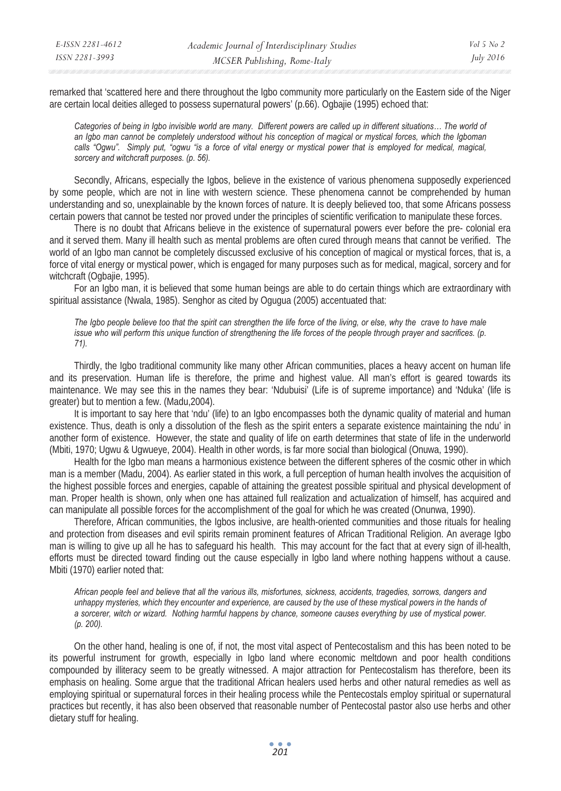remarked that 'scattered here and there throughout the Igbo community more particularly on the Eastern side of the Niger are certain local deities alleged to possess supernatural powers' (p.66). Ogbajie (1995) echoed that:

*Categories of being in Igbo invisible world are many. Different powers are called up in different situations… The world of*  an Igbo man cannot be completely understood without his conception of magical or mystical forces, which the Igboman calls "Ogwu". Simply put, "ogwu "is a force of vital energy or mystical power that is employed for medical, magical, *sorcery and witchcraft purposes. (p. 56).* 

Secondly, Africans, especially the Igbos, believe in the existence of various phenomena supposedly experienced by some people, which are not in line with western science. These phenomena cannot be comprehended by human understanding and so, unexplainable by the known forces of nature. It is deeply believed too, that some Africans possess certain powers that cannot be tested nor proved under the principles of scientific verification to manipulate these forces.

There is no doubt that Africans believe in the existence of supernatural powers ever before the pre- colonial era and it served them. Many ill health such as mental problems are often cured through means that cannot be verified. The world of an Igbo man cannot be completely discussed exclusive of his conception of magical or mystical forces, that is, a force of vital energy or mystical power, which is engaged for many purposes such as for medical, magical, sorcery and for witchcraft (Ogbaile, 1995).

For an Igbo man, it is believed that some human beings are able to do certain things which are extraordinary with spiritual assistance (Nwala, 1985). Senghor as cited by Ogugua (2005) accentuated that:

The Igbo people believe too that the spirit can strengthen the life force of the living, or else, why the crave to have male *issue who will perform this unique function of strengthening the life forces of the people through prayer and sacrifices. (p. 71).* 

Thirdly, the Igbo traditional community like many other African communities, places a heavy accent on human life and its preservation. Human life is therefore, the prime and highest value. All man's effort is geared towards its maintenance. We may see this in the names they bear: 'Ndubuisi' (Life is of supreme importance) and 'Nduka' (life is greater) but to mention a few. (Madu,2004).

It is important to say here that 'ndu' (life) to an Igbo encompasses both the dynamic quality of material and human existence. Thus, death is only a dissolution of the flesh as the spirit enters a separate existence maintaining the ndu' in another form of existence. However, the state and quality of life on earth determines that state of life in the underworld (Mbiti, 1970; Ugwu & Ugwueye, 2004). Health in other words, is far more social than biological (Onuwa, 1990).

Health for the Igbo man means a harmonious existence between the different spheres of the cosmic other in which man is a member (Madu, 2004). As earlier stated in this work, a full perception of human health involves the acquisition of the highest possible forces and energies, capable of attaining the greatest possible spiritual and physical development of man. Proper health is shown, only when one has attained full realization and actualization of himself, has acquired and can manipulate all possible forces for the accomplishment of the goal for which he was created (Onunwa, 1990).

Therefore, African communities, the Igbos inclusive, are health-oriented communities and those rituals for healing and protection from diseases and evil spirits remain prominent features of African Traditional Religion. An average Igbo man is willing to give up all he has to safeguard his health. This may account for the fact that at every sign of ill-health, efforts must be directed toward finding out the cause especially in Igbo land where nothing happens without a cause. Mbiti (1970) earlier noted that:

*African people feel and believe that all the various ills, misfortunes, sickness, accidents, tragedies, sorrows, dangers and unhappy mysteries, which they encounter and experience, are caused by the use of these mystical powers in the hands of a sorcerer, witch or wizard. Nothing harmful happens by chance, someone causes everything by use of mystical power. (p. 200).* 

On the other hand, healing is one of, if not, the most vital aspect of Pentecostalism and this has been noted to be its powerful instrument for growth, especially in Igbo land where economic meltdown and poor health conditions compounded by illiteracy seem to be greatly witnessed. A major attraction for Pentecostalism has therefore, been its emphasis on healing. Some argue that the traditional African healers used herbs and other natural remedies as well as employing spiritual or supernatural forces in their healing process while the Pentecostals employ spiritual or supernatural practices but recently, it has also been observed that reasonable number of Pentecostal pastor also use herbs and other dietary stuff for healing.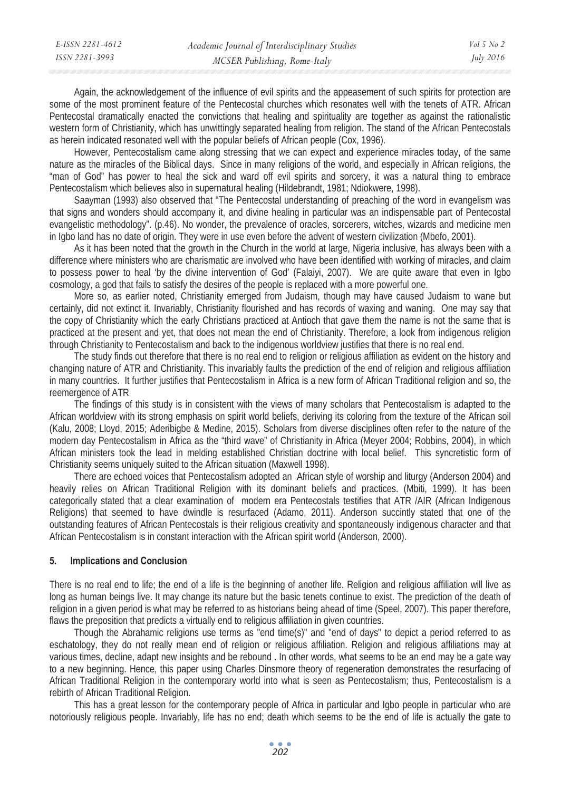| E-ISSN 2281-4612 | Academic Journal of Interdisciplinary Studies | Vol 5 No 2       |
|------------------|-----------------------------------------------|------------------|
| ISSN 2281-3993   | MCSER Publishing, Rome-Italy                  | <i>July 2016</i> |

Again, the acknowledgement of the influence of evil spirits and the appeasement of such spirits for protection are some of the most prominent feature of the Pentecostal churches which resonates well with the tenets of ATR. African Pentecostal dramatically enacted the convictions that healing and spirituality are together as against the rationalistic western form of Christianity, which has unwittingly separated healing from religion. The stand of the African Pentecostals as herein indicated resonated well with the popular beliefs of African people (Cox, 1996).

However, Pentecostalism came along stressing that we can expect and experience miracles today, of the same nature as the miracles of the Biblical days. Since in many religions of the world, and especially in African religions, the "man of God" has power to heal the sick and ward off evil spirits and sorcery, it was a natural thing to embrace Pentecostalism which believes also in supernatural healing (Hildebrandt, 1981; Ndiokwere, 1998).

Saayman (1993) also observed that "The Pentecostal understanding of preaching of the word in evangelism was that signs and wonders should accompany it, and divine healing in particular was an indispensable part of Pentecostal evangelistic methodology". (p.46). No wonder, the prevalence of oracles, sorcerers, witches, wizards and medicine men in Igbo land has no date of origin. They were in use even before the advent of western civilization (Mbefo, 2001).

As it has been noted that the growth in the Church in the world at large, Nigeria inclusive, has always been with a difference where ministers who are charismatic are involved who have been identified with working of miracles, and claim to possess power to heal 'by the divine intervention of God' (Falaiyi, 2007). We are quite aware that even in Igbo cosmology, a god that fails to satisfy the desires of the people is replaced with a more powerful one.

More so, as earlier noted, Christianity emerged from Judaism, though may have caused Judaism to wane but certainly, did not extinct it. Invariably, Christianity flourished and has records of waxing and waning. One may say that the copy of Christianity which the early Christians practiced at Antioch that gave them the name is not the same that is practiced at the present and yet, that does not mean the end of Christianity. Therefore, a look from indigenous religion through Christianity to Pentecostalism and back to the indigenous worldview justifies that there is no real end.

The study finds out therefore that there is no real end to religion or religious affiliation as evident on the history and changing nature of ATR and Christianity. This invariably faults the prediction of the end of religion and religious affiliation in many countries. It further justifies that Pentecostalism in Africa is a new form of African Traditional religion and so, the reemergence of ATR

The findings of this study is in consistent with the views of many scholars that Pentecostalism is adapted to the African worldview with its strong emphasis on spirit world beliefs, deriving its coloring from the texture of the African soil (Kalu, 2008; Lloyd, 2015; Aderibigbe & Medine, 2015). Scholars from diverse disciplines often refer to the nature of the modern day Pentecostalism in Africa as the "third wave" of Christianity in Africa (Meyer 2004; Robbins, 2004), in which African ministers took the lead in melding established Christian doctrine with local belief. This syncretistic form of Christianity seems uniquely suited to the African situation (Maxwell 1998).

There are echoed voices that Pentecostalism adopted an African style of worship and liturgy (Anderson 2004) and heavily relies on African Traditional Religion with its dominant beliefs and practices. (Mbiti, 1999). It has been categorically stated that a clear examination of modern era Pentecostals testifies that ATR /AIR (African Indigenous Religions) that seemed to have dwindle is resurfaced (Adamo, 2011). Anderson succintly stated that one of the outstanding features of African Pentecostals is their religious creativity and spontaneously indigenous character and that African Pentecostalism is in constant interaction with the African spirit world (Anderson, 2000).

## **5. Implications and Conclusion**

There is no real end to life; the end of a life is the beginning of another life. Religion and religious affiliation will live as long as human beings live. It may change its nature but the basic tenets continue to exist. The prediction of the death of religion in a given period is what may be referred to as historians being ahead of time (Speel, 2007). This paper therefore, flaws the preposition that predicts a virtually end to religious affiliation in given countries.

Though the Abrahamic religions use terms as "end time(s)" and "end of days" to depict a period referred to as eschatology, they do not really mean end of religion or religious affiliation. Religion and religious affiliations may at various times, decline, adapt new insights and be rebound . In other words, what seems to be an end may be a gate way to a new beginning. Hence, this paper using Charles Dinsmore theory of regeneration demonstrates the resurfacing of African Traditional Religion in the contemporary world into what is seen as Pentecostalism; thus, Pentecostalism is a rebirth of African Traditional Religion.

This has a great lesson for the contemporary people of Africa in particular and Igbo people in particular who are notoriously religious people. Invariably, life has no end; death which seems to be the end of life is actually the gate to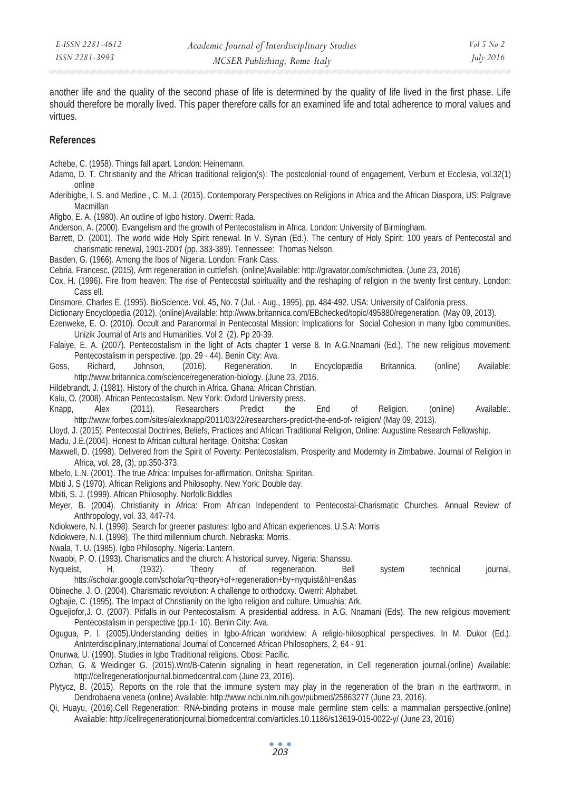another life and the quality of the second phase of life is determined by the quality of life lived in the first phase. Life should therefore be morally lived. This paper therefore calls for an examined life and total adherence to moral values and virtues.

#### **References**

- Achebe, C. (1958). Things fall apart*.* London: Heinemann.
- Adamo, D. T. Christianity and the African traditional religion(s): The postcolonial round of engagement, Verbum et Ecclesia, vol.32(1) online
- Aderibigbe, I. S. and Medine , C. M. J. (2015). Contemporary Perspectives on Religions in Africa and the African Diaspora, US: Palgrave Macmillan
- Afigbo, E. A. (1980). An outline of Igbo history. Owerri: Rada.
- Anderson, A. (2000). Evangelism and the growth of Pentecostalism in Africa. London: University of Birmingham.
- Barrett, D. (2001). The world wide Holy Spirit renewal. In V. Synan (Ed.). The century of Holy Spirit: 100 years of Pentecostal and charismatic renewal, 1901-200*1* (pp. 383-389). Tennessee: Thomas Nelson.
- Basden, G. (1966). Among the Ibos of Nigeria. London: Frank Cass.
- Cebria, Francesc, (2015), Arm regeneration in cuttlefish. (online)Available: http://gravator.com/schmidtea. (June 23, 2016)
- Cox, H. (1996). Fire from heaven: The rise of Pentecostal spirituality and the reshaping of religion in the twenty first century. London: Cass ell.
- Dinsmore, Charles E. (1995). BioScience. Vol. 45, No. 7 (Jul. Aug., 1995), pp. 484-492. USA: University of Califonia press.
- Dictionary Encyclopedia (2012). (online)Available: http://www.britannica.com/EBchecked/topic/495880/regeneration. (May 09, 2013).
- Ezenweke, E. O. (2010). Occult and Paranormal in Pentecostal Mission: Implications for Social Cohesion in many Igbo communities. Unizik Journal of Arts and Humanities. Vol 2 (2). Pp 20-39.
- Falaiye, E. A. (2007). Pentecostalism in the light of Acts chapter 1 verse 8. In A.G.Nnamani (Ed.). The new religious movement: Pentecostalism in perspective. (pp. 29 - 44). Benin City: Ava.
- Goss, Richard, Johnson, (2016). Regeneration. In Encyclopædia Britannica. (online) Available: http://www.britannica.com/science/regeneration-biology. (June 23, 2016.
- Hildebrandt, J. (1981). History of the church in Africa. Ghana: African Christian.
- Kalu, O. (2008). African Pentecostalism. New York: Oxford University press.
- Knapp, Alex (2011). Researchers Predict the End of Religion. (online) Available:*.* http://www.forbes.com/sites/alexknapp/2011/03/22/researchers-predict-the-end-of- religion/ (May 09, 2013).
- Lloyd, J. (2015). Pentecostal Doctrines, Beliefs, Practices and African Traditional Religion, Online: Augustine Research Fellowship.
- Madu, J.E.(2004). Honest to African cultural heritage. Onitsha: Coskan
- Maxwell, D. (1998). Delivered from the Spirit of Poverty: Pentecostalism, Prosperity and Modernity in Zimbabwe. Journal of Religion in Africa, vol. 28, (3), pp.350-373.
- Mbefo, L.N. (2001). The true Africa: Impulses for-affirmation*.* Onitsha: Spiritan.
- Mbiti J. S (1970). African Religions and Philosophy. New York: Double day.
- Mbiti, S. J. (1999). African Philosophy. Norfolk:Biddles
- Meyer, B. (2004). Christianity in Africa: From African Independent to Pentecostal-Charismatic Churches. Annual Review of Anthropology, vol. 33, 447-74.
- Ndiokwere, N. I. (1998). Search for greener pastures: Igbo and African experiences*.* U.S.A: Morris
- Ndiokwere, N. I. (1998). The third millennium church. Nebraska: Morris.
- Nwala, T. U. (1985). Igbo Philosophy. Nigeria: Lantern.
- Nwaobi, P. O. (1993). Charismatics and the church: A historical survey. Nigeria: Shanssu.
- Nyqueist, H. (1932). Theory of regeneration. Bell system technical journal, htts://scholar.google.com/scholar?q=theory+of+regeneration+by+nyquist&hl=en&as
- Obineche, J. O. (2004). Charismatic revolution: A challenge to orthodoxy*.* Owerri: Alphabet.
- Ogbajie, C. (1995). The Impact of Christianity on the Igbo religion and culture. Umuahia: Ark.
- Oguejiofor,J. O. (2007). Pitfalls in our Pentecostalism: A presidential address. In A.G. Nnamani (Eds). The new religious movement: Pentecostalism in perspective (pp.1- 10)*.* Benin City: Ava.
- Ogugua, P. I. (2005).Understanding deities in Igbo-African worldview: A religio-hilosophical perspectives. In M. Dukor (Ed.). AnInterdisciplinary,International Journal of Concerned African Philosophers, *2,* 64 - 91.
- Onunwa, U. (1990). Studies in Igbo Traditional religions. Obosi: Pacific.
- Ozhan, G. & Weidinger G. (2015).Wnt/B-Catenin signaling in heart regeneration, in Cell regeneration journal.(online) Available: http://cellregenerationjournal.biomedcentral.com (June 23, 2016).
- Plytycz, B. (2015). Reports on the role that the immune system may play in the regeneration of the brain in the earthworm, in Dendrobaena veneta (online) Available: http://www.ncbi.nlm.nih.gov/pubmed/25863277 (June 23, 2016).
- Qi, Huayu, (2016).Cell Regeneration: RNA-binding proteins in mouse male germline stem cells: a mammalian perspective.(online) Available: http://cellregenerationjournal.biomedcentral.com/articles.10.1186/s13619-015-0022-y/ (June 23, 2016)